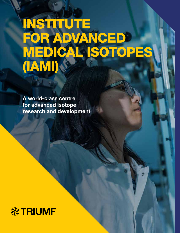### INSTITUTE FOR ADVANCED MEDICAL ISOTOPES (IAMI)

A world-class centre for advanced isotope research and development

### **&TRIUMF**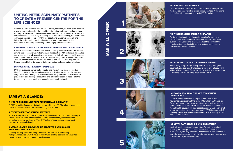### UNITING INTERDISCIPLINARY PARTNERS TO CREATE A PREMIER CENTRE FOR THE LIFE SCIENCES

Canada is home to world-leading researchers, clinicians, and industrial partners who are working to realize the benefits that medical isotopes — valuable tools for diagnosing and treating life-threatening illnesses, from cancer to dementia to cardiac disease — can bring to society. As a hub for this activity, the Institute for Advanced Medical Isotopes (IAMI) will accelerate academic research and industrial collaboration, positioning Canada as a global leader in the manufacture and study of existing and emerging medical isotopes.

### EXPANDING CANADA'S EXPERTISE IN MEDICAL ISOTOPE RESEARCH

A world-class radiopharmaceutical research facility that houses both public- and private-sector research, development, and production, IAMI will expand Canada's role in fast-moving advances in nuclear medicine that will improve health and save lives. Located on the TRIUMF campus, IAMI will bring together researchers from TRIUMF, the University of British Columbia, Simon Fraser University, and BC Cancer to enable the development of new medical isotopes and applications.

### IMPROVING THE HEALTH OF CANADIANS

IAMI promises to secure a local supply of several important medical isotopes, including critical imaging isotope 99mTc, and to enable Canadian access to the global <sup>99m</sup>Tc market.

IAMI will support a network of domestic and international users focused on identifying and manufacturing isotopes and radiopharmaceuticals for imaging, diagnosing, and treating a variety of life-threatening diseases. The Institute will provide dedicated isotope production and laboratory space to accelerate the translation of nuclear medicine research, from bench to bedside.

### IAMI AT A GLANCE:

### A HUB FOR MEDICAL ISOTOPE RESEARCH AND INNOVATION

A 2500m² facility, featuring a dedicated, state-of-the-art TR-24 cyclotron and a suite of medical grade laboratories for conducting clinical trials.

### A STEADY SUPPLY OF CRITICAL ISOTOPES

A dedicated production space significantly increasing the production capacity in British Columbia and Canada for medical isotopes necessary for research and clinical application, particularly  $18F$  and  $99mTc$ , two of the most commonly used isotopes in diagnostic imaging.

### A WORLD LEADER IN DEVELOPING TARGETED RADIONUCLIDE THERAPIES FOR CANCERS

Globally leading production capability for 177Lu and 225Ac-containing radiopharmaceuticals, which have demonstrated exciting potential for a targeted therapy in untreatable, late-stage prostate cancers.

# OFFER IAMI WILL OFFER **AMI WILL**









### SECURE ISOTOPE SUPPLIES

#### NEXT-GENERATION CANCER THERAPIES

By developing targeted radionuclide therapies for metastatic cancers, IAMI researchers will contribute to improving health outcomes for Canadians, place Canada at the centre of this promising, fast-growing field, and allow Canadian access to radionuclide therapy markets.

### ACCELERATED GLOBAL DRUG DEVELOPMENT

Some early-stage drug development trials rely on highly sought-after isotope-based radiotracers to gauge drug efficacy. IAMI will provide a unique infrastructure for radiotracer production, positioning Canada as a key player in this space.

### IMPROVED HEALTH OUTCOMES FOR BRITISH COLUMBIANS

IAMI will supply additional isotopes to the TRIUMF-UBC neuroimaging program at the Djavad Mowafaghian Centre for Brain Health and bring the power of personalized medicine to more patients who suffer from addiction, dementia, and other mental health issues. It will also boost the supply and diversity of important positron-emission tomography (PET) isotopes for BC Cancer patients, enabling thousands of PET scans annually at UBC and BC Cancer sites.

### INDUSTRY PARTNERSHIPS AND INVESTMENT

IAMI will provide certified infrastructure for isotope production, enabling the development of new diagnostic and therapeutic substances by industry partners. The Institute will also establish a powerful training platform — at the interface between science and business — for young researchers.